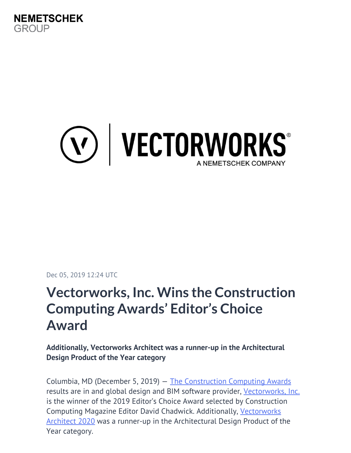

# (V) | VECTORWORKS®

Dec 05, 2019 12:24 UTC

## **Vectorworks, Inc. Wins the Construction Computing Awards' Editor's Choice Award**

**Additionally, Vectorworks Architect was a runner-up in the Architectural Design Product of the Year category**

Columbia, MD (December 5, 2019) — [The Construction Computing Awards](https://constructioncomputing.co.uk/ccawards/index.php) results are in and global design and BIM software provider, [Vectorworks, Inc.](https://www.vectorworks.net/en-US?utm_campaign=pr&utm_content=editorschoice120519&utm_medium=massdistribution&utm_source=intext) is the winner of the 2019 Editor's Choice Award selected by Construction Computing Magazine Editor David Chadwick. Additionally, [Vectorworks](https://www.vectorworks.net/en-US/architect?utm_campaign=pr&utm_content=editorschoice120519&utm_medium=massdistribution&utm_source=intext) [Architect 2020](https://www.vectorworks.net/en-US/architect?utm_campaign=pr&utm_content=editorschoice120519&utm_medium=massdistribution&utm_source=intext) was a runner-up in the Architectural Design Product of the Year category.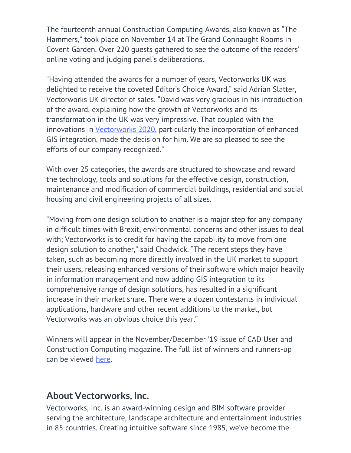The fourteenth annual Construction Computing Awards, also known as "The Hammers," took place on November 14 at The Grand Connaught Rooms in Covent Garden. Over 220 guests gathered to see the outcome of the readers' online voting and judging panel's deliberations.

"Having attended the awards for a number of years, Vectorworks UK was delighted to receive the coveted Editor's Choice Award," said Adrian Slatter, Vectorworks UK director of sales. "David was very gracious in his introduction of the award, explaining how the growth of Vectorworks and its transformation in the UK was very impressive. That coupled with the innovations in [Vectorworks 2020](https://www.vectorworks.net/en-US/2020?utm_campaign=pr&utm_content=editorschoice120519&utm_medium=massdistribution&utm_source=intext), particularly the incorporation of enhanced GIS integration, made the decision for him. We are so pleased to see the efforts of our company recognized."

With over 25 categories, the awards are structured to showcase and reward the technology, tools and solutions for the effective design, construction, maintenance and modification of commercial buildings, residential and social housing and civil engineering projects of all sizes.

"Moving from one design solution to another is a major step for any company in difficult times with Brexit, environmental concerns and other issues to deal with; Vectorworks is to credit for having the capability to move from one design solution to another," said Chadwick. "The recent steps they have taken, such as becoming more directly involved in the UK market to support their users, releasing enhanced versions of their software which major heavily in information management and now adding GIS integration to its comprehensive range of design solutions, has resulted in a significant increase in their market share. There were a dozen contestants in individual applications, hardware and other recent additions to the market, but Vectorworks was an obvious choice this year."

Winners will appear in the November/December '19 issue of CAD User and Construction Computing magazine. The full list of winners and runners-up can be viewed [here.](http://constructioncomputing.co.uk/ccawards/?page=winners2019)

#### **About Vectorworks, Inc.**

Vectorworks, Inc. is an award-winning design and BIM software provider serving the architecture, landscape architecture and entertainment industries in 85 countries. Creating intuitive software since 1985, we've become the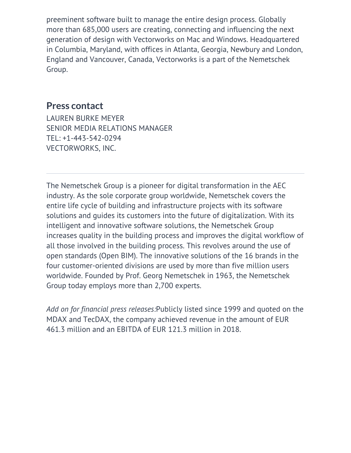preeminent software built to manage the entire design process. Globally more than 685,000 users are creating, connecting and influencing the next generation of design with Vectorworks on Mac and Windows. Headquartered in Columbia, Maryland, with offices in Atlanta, Georgia, Newbury and London, England and Vancouver, Canada, Vectorworks is a part of the Nemetschek Group.

#### **Press contact**

LAUREN BURKE MEYER SENIOR MEDIA RELATIONS MANAGER TEL: +1-443-542-0294 VECTORWORKS, INC.

The Nemetschek Group is a pioneer for digital transformation in the AEC industry. As the sole corporate group worldwide, Nemetschek covers the entire life cycle of building and infrastructure projects with its software solutions and guides its customers into the future of digitalization. With its intelligent and innovative software solutions, the Nemetschek Group increases quality in the building process and improves the digital workflow of all those involved in the building process. This revolves around the use of open standards (Open BIM). The innovative solutions of the 16 brands in the four customer-oriented divisions are used by more than five million users worldwide. Founded by Prof. Georg Nemetschek in 1963, the Nemetschek Group today employs more than 2,700 experts.

*Add on for financial press releases:*Publicly listed since 1999 and quoted on the MDAX and TecDAX, the company achieved revenue in the amount of EUR 461.3 million and an EBITDA of EUR 121.3 million in 2018.